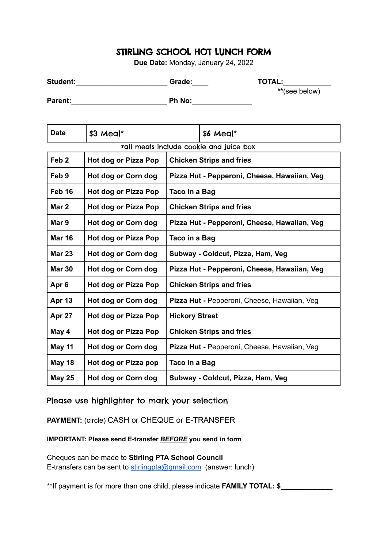## STIRLING SCHOOL HOT LUNCH FORM

**Due Date:** Monday, January 24, 2022

| <b>Student:</b> | Grade: | <b>TOTAL:</b> |
|-----------------|--------|---------------|
|                 |        | **(see below) |

**Parent:** Ph No:

Date  $\left| \text{S3 Mea} \right|^*$   $\left| \text{S6 Mea} \right|^*$ \*all meals include cookie and juice box **Feb 2 Hot dog or Pizza Pop Chicken Strips and fries Feb 9 Hot dog or Corn dog Pizza Hut - Pepperoni, Cheese, Hawaiian, Veg Feb 16 Hot dog or Pizza Pop Taco in a Bag Mar 2 Hot dog or Pizza Pop Chicken Strips and fries Mar 9 Hot dog or Corn dog Pizza Hut - Pepperoni, Cheese, Hawaiian, Veg Mar 16 Hot dog or Pizza Pop Taco in a Bag Mar 23 Hot dog or Corn dog Subway - Coldcut, Pizza, Ham, Veg Mar 30 Hot dog or Corn dog Pizza Hut - Pepperoni, Cheese, Hawaiian, Veg Apr 6 Hot dog or Pizza Pop Chicken Strips and fries Apr 13 Hot dog or Corn dog Pizza Hut -** Pepperoni, Cheese, Hawaiian, Veg **Apr 27 Hot dog or Pizza Pop Hickory Street May 4 Hot dog or Pizza Pop Chicken Strips and fries May 11 Hot dog or Corn dog Pizza Hut -** Pepperoni, Cheese, Hawaiian, Veg **May 18 Hot dog or Pizza pop Taco in a Bag May 25 Hot dog or Corn dog Subway - Coldcut, Pizza, Ham, Veg**

## Please use highlighter to mark your selection

**PAYMENT:** (circle) CASH or CHEQUE or E-TRANSFER

**IMPORTANT: Please send E-transfer** *BEFORE* **you send in form**

Cheques can be made to **Stirling PTA School Council** E-transfers can be sent to [stirlingpta@gmail.com](mailto:stirlingpta@gmail.com) (answer: lunch)

\*\*If payment is for more than one child, please indicate **FAMILY TOTAL: \$\_\_\_\_\_\_\_\_\_\_\_\_\_**